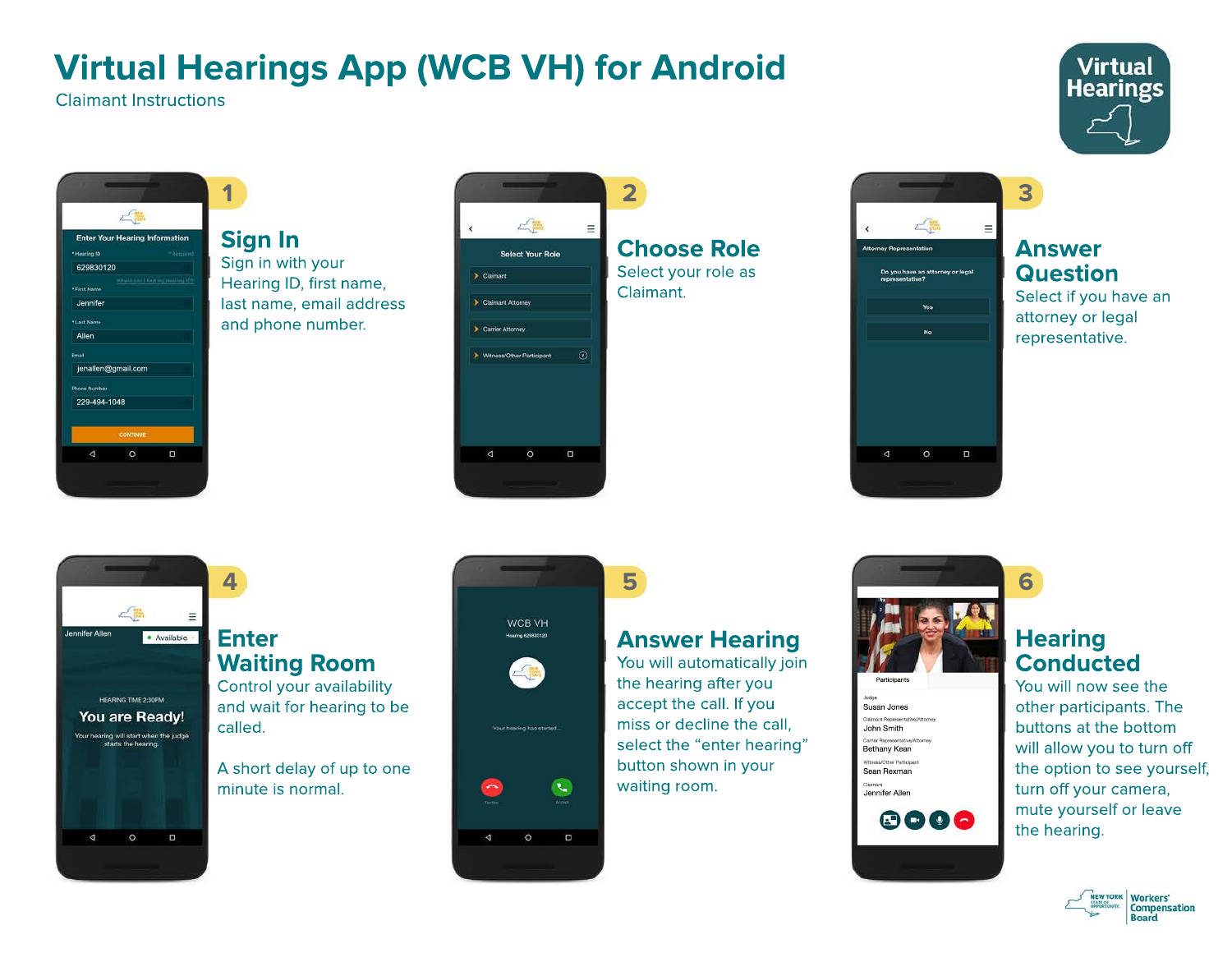# **Virtual Hearings App (WCB VH) for Android**

Claimant Instructions



**1**  $r$ **Enter Your Hearing Information** Hearing 10 629830120 First Nam Jennifer **Last Nam** Allen Email jenallen@gmail.com Phone Numbe 229-494-1048  $\triangle$  $\circ$  $\Box$ 

## **Sign In**

Sign in with your Hearing ID, first name, last name, email address and phone number.







#### **Answer Question**

**3**

Select if you have an attorney or legal representative.



### **Enter Waiting Room**

**4**

Control your availability and wait for hearing to be called.

A short delay of up to one minute is normal.



 $\Box$ 

 $\Delta$ 

## **Answer Hearing**

You will automatically join the hearing after you accept the call. If you miss or decline the call, select the "enter hearing" button shown in your waiting room.



### **Hearing Conducted**

**6**

You will now see the other participants. The buttons at the bottom will allow you to turn off the option to see yourself, turn off your camera, mute yourself or leave the hearing.